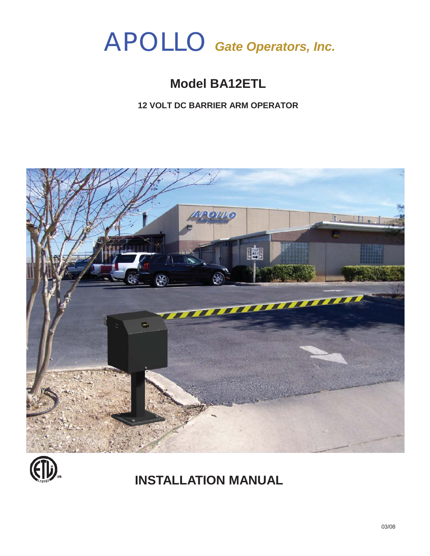# APOLLO *Gate Operators, Inc.*

## **Model BA12ETL**

**12 VOLT DC BARRIER ARM OPERATOR**





## **INSTALLATION MANUAL**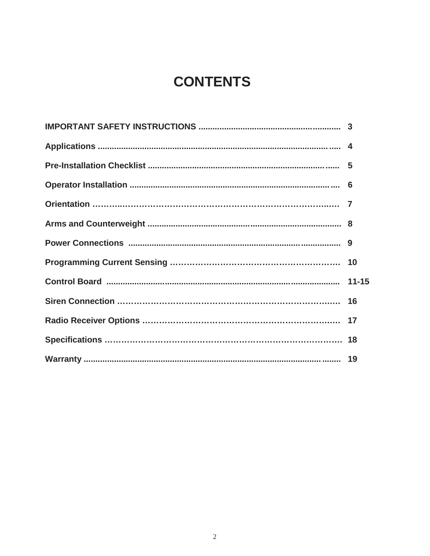## **CONTENTS**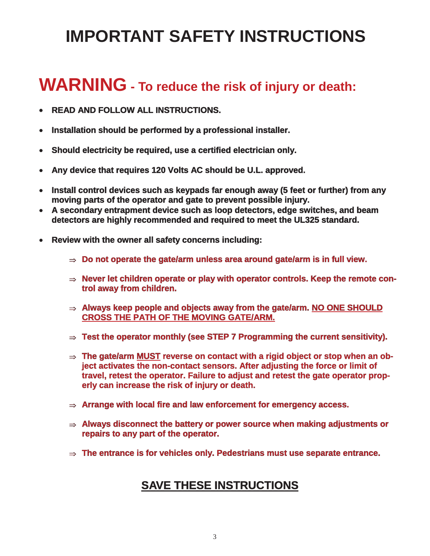## **IMPORTANT SAFETY INSTRUCTIONS**

## **WARNING - To reduce the risk of injury or death:**

- **-READ AND FOLLOW ALL INSTRUCTIONS.**
- **-Installation should be performed by a professional installer.**
- **-Should electricity be required, use a certified electrician only.**
- **-Any device that requires 120 Volts AC should be U.L. approved.**
- **- Install control devices such as keypads far enough away (5 feet or further) from any moving parts of the operator and gate to prevent possible injury.**
- **- A secondary entrapment device such as loop detectors, edge switches, and beam detectors are highly recommended and required to meet the UL325 standard.**
- **- Review with the owner all safety concerns including:**
	- $\Rightarrow$  Do not operate the gate/arm unless area around gate/arm is in full view.
	- ⇒ Never let children operate or play with operator controls. Keep the remote con**trol away from children.**
	- **Always keep people and objects away from the gate/arm. NO ONE SHOULD CROSS THE PATH OF THE MOVING GATE/ARM.**
	- **Test the operator monthly (see STEP 7 Programming the current sensitivity).**
	- **The gate/arm MUST reverse on contact with a rigid object or stop when an object activates the non-contact sensors. After adjusting the force or limit of travel, retest the operator. Failure to adjust and retest the gate operator properly can increase the risk of injury or death.**
	- **Arrange with local fire and law enforcement for emergency access.**
	- **Always disconnect the battery or power source when making adjustments or repairs to any part of the operator.**
	- **The entrance is for vehicles only. Pedestrians must use separate entrance.**

### **SAVE THESE INSTRUCTIONS**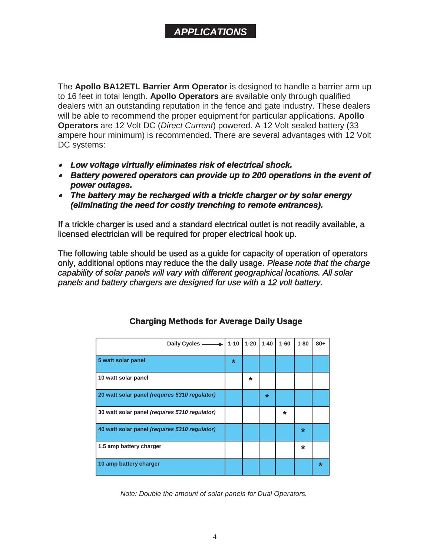### *APPLICATIONS*

The **Apollo BA12ETL Barrier Arm Operator** is designed to handle a barrier arm up to 16 feet in total length. **Apollo Operators** are available only through qualified dealers with an outstanding reputation in the fence and gate industry. These dealers will be able to recommend the proper equipment for particular applications. **Apollo Operators** are 12 Volt DC (*Direct Current*) powered. A 12 Volt sealed battery (33 ampere hour minimum) is recommended. There are several advantages with 12 Volt DC systems:

- *- Low voltage virtually eliminates risk of electrical shock.*
- *- Battery powered operators can provide up to 200 operations in the event of power outages.*
- *- The battery may be recharged with a trickle charger or by solar energy (eliminating the need for costly trenching to remote entrances).*

If a trickle charger is used and a standard electrical outlet is not readily available, a licensed electrician will be required for proper electrical hook up.

The following table should be used as a guide for capacity of operation of operators only, additional options may reduce the the daily usage. *Please note that the charge capability of solar panels will vary with different geographical locations. All solar panels and battery chargers are designed for use with a 12 volt battery.*

| Daily Cycles -                                | $1 - 10$ | $1 - 20$ | $1 - 40$ | $1 - 60$ | $1 - 80$ | $80+$   |
|-----------------------------------------------|----------|----------|----------|----------|----------|---------|
| 5 watt solar panel                            | $\ast$   |          |          |          |          |         |
| 10 watt solar panel                           |          | $\star$  |          |          |          |         |
| 20 watt solar panel (requires 5310 regulator) |          |          | $\star$  |          |          |         |
| 30 watt solar panel (requires 5310 regulator) |          |          |          | $\star$  |          |         |
| 40 watt solar panel (requires 5310 regulator) |          |          |          |          | $\star$  |         |
| 1.5 amp battery charger                       |          |          |          |          | $\star$  |         |
| 10 amp battery charger                        |          |          |          |          |          | $\star$ |

#### **Charging Methods for Average Daily Usage**

*Note: Double the amount of solar panels for Dual Operators.*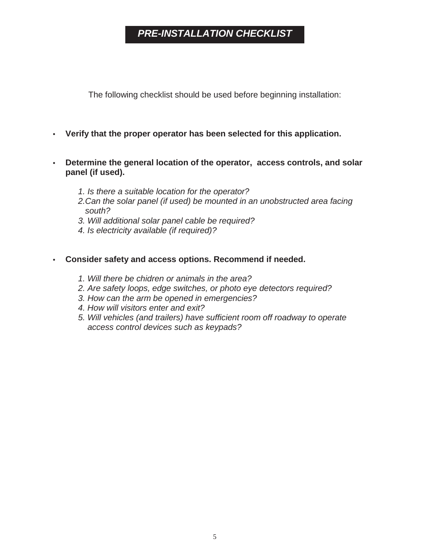### *PRE-INSTALLATION CHECKLIST*

The following checklist should be used before beginning installation:

#### **• Verify that the proper operator has been selected for this application.**

- **• Determine the general location of the operator, access controls, and solar panel (if used).**
	- *1. Is there a suitable location for the operator?*
	- *2.Can the solar panel (if used) be mounted in an unobstructed area facing south?*
	- *3. Will additional solar panel cable be required?*
	- *4. Is electricity available (if required)?*

#### **• Consider safety and access options. Recommend if needed.**

- *1. Will there be chidren or animals in the area?*
- *2. Are safety loops, edge switches, or photo eye detectors required?*
- *3. How can the arm be opened in emergencies?*
- *4. How will visitors enter and exit?*
- *5. Will vehicles (and trailers) have sufficient room off roadway to operate access control devices such as keypads?*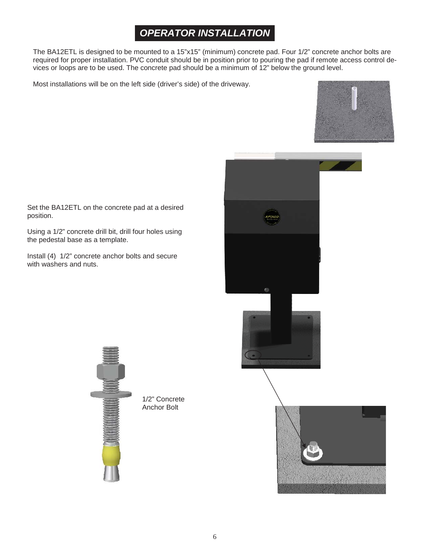### *OPERATOR INSTALLATION*

The BA12ETL is designed to be mounted to a 15"x15" (minimum) concrete pad. Four 1/2" concrete anchor bolts are required for proper installation. PVC conduit should be in position prior to pouring the pad if remote access control devices or loops are to be used. The concrete pad should be a minimum of 12" below the ground level.

Most installations will be on the left side (driver's side) of the driveway.





Set the BA12ETL on the concrete pad at a desired position.

Using a 1/2" concrete drill bit, drill four holes using the pedestal base as a template.

Install (4) 1/2" concrete anchor bolts and secure with washers and nuts.



1/2" Concrete Anchor Bolt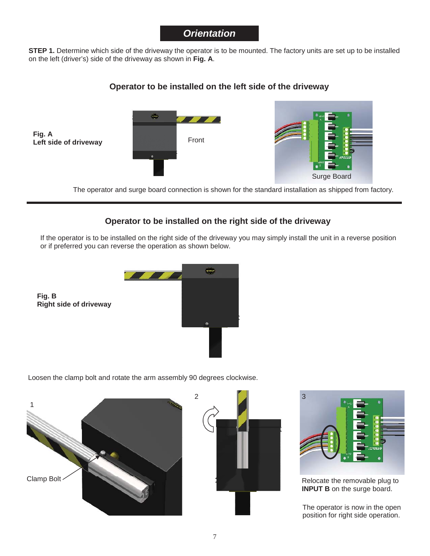#### *Orientation*

**STEP 1.** Determine which side of the driveway the operator is to be mounted. The factory units are set up to be installed on the left (driver's) side of the driveway as shown in **Fig. A**.

#### **Operator to be installed on the left side of the driveway**



The operator and surge board connection is shown for the standard installation as shipped from factory.

#### **Operator to be installed on the right side of the driveway**

If the operator is to be installed on the right side of the driveway you may simply install the unit in a reverse position or if preferred you can reverse the operation as shown below.



Loosen the clamp bolt and rotate the arm assembly 90 degrees clockwise.



**Fig. B**





Relocate the removable plug to **INPUT B** on the surge board.

The operator is now in the open position for right side operation.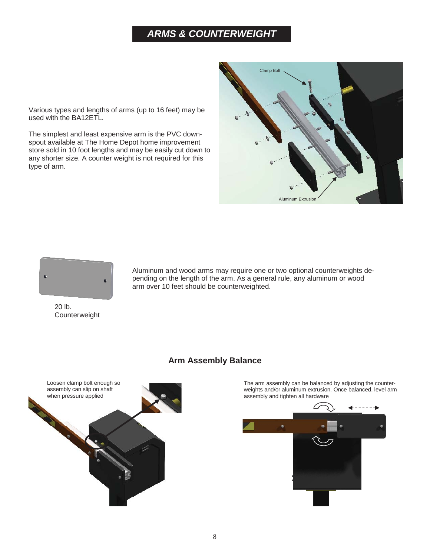### *ARMS & COUNTERWEIGHT*

Various types and lengths of arms (up to 16 feet) may be used with the BA12ETL.

The simplest and least expensive arm is the PVC downspout available at The Home Depot home improvement store sold in 10 foot lengths and may be easily cut down to any shorter size. A counter weight is not required for this type of arm.





Aluminum and wood arms may require one or two optional counterweights depending on the length of the arm. As a general rule, any aluminum or wood arm over 10 feet should be counterweighted.

20 lb. Counterweight

#### **Arm Assembly Balance**



The arm assembly can be balanced by adjusting the counterweights and/or aluminum extrusion. Once balanced, level arm assembly and tighten all hardware

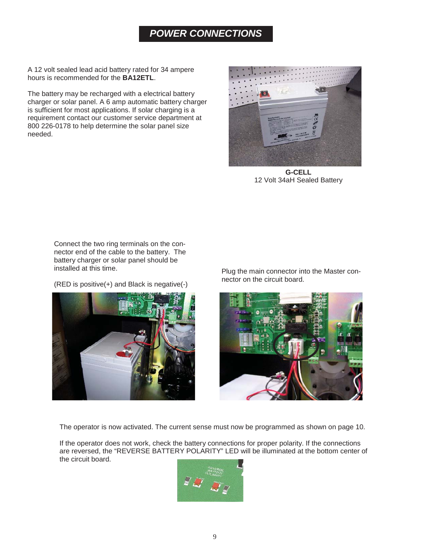### *POWER CONNECTIONS*

A 12 volt sealed lead acid battery rated for 34 ampere hours is recommended for the **BA12ETL**.

The battery may be recharged with a electrical battery charger or solar panel. A 6 amp automatic battery charger is sufficient for most applications. If solar charging is a requirement contact our customer service department at 800 226-0178 to help determine the solar panel size needed.



**G-CELL** 12 Volt 34aH Sealed Battery

Connect the two ring terminals on the connector end of the cable to the battery. The battery charger or solar panel should be installed at this time.

(RED is positive(+) and Black is negative(-)



Plug the main connector into the Master connector on the circuit board.



The operator is now activated. The current sense must now be programmed as shown on page 10.

If the operator does not work, check the battery connections for proper polarity. If the connections are reversed, the "REVERSE BATTERY POLARITY" LED will be illuminated at the bottom center of the circuit board.

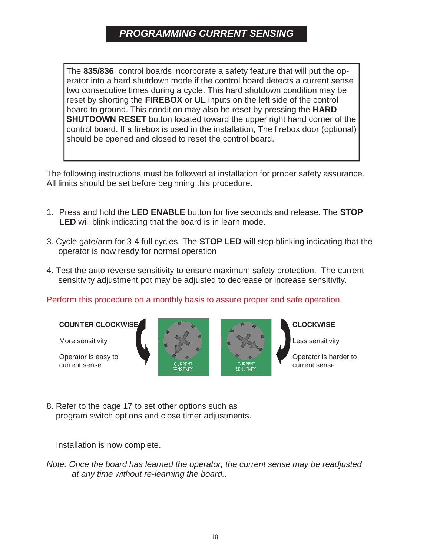### *PROGRAMMING CURRENT SENSING*

The **835/836** control boards incorporate a safety feature that will put the operator into a hard shutdown mode if the control board detects a current sense two consecutive times during a cycle. This hard shutdown condition may be reset by shorting the **FIREBOX** or **UL** inputs on the left side of the control board to ground. This condition may also be reset by pressing the **HARD SHUTDOWN RESET** button located toward the upper right hand corner of the control board. If a firebox is used in the installation, The firebox door (optional) should be opened and closed to reset the control board.

The following instructions must be followed at installation for proper safety assurance. All limits should be set before beginning this procedure.

- 1. Press and hold the **LED ENABLE** button for five seconds and release. The **STOP LED** will blink indicating that the board is in learn mode.
- 3. Cycle gate/arm for 3-4 full cycles. The **STOP LED** will stop blinking indicating that the operator is now ready for normal operation
- 4. Test the auto reverse sensitivity to ensure maximum safety protection. The current sensitivity adjustment pot may be adjusted to decrease or increase sensitivity.

Perform this procedure on a monthly basis to assure proper and safe operation.

**COUNTER CLOCKWISE**

More sensitivity

Operator is easy to current sense







Less sensitivity

Operator is harder to current sense

8. Refer to the page 17 to set other options such as program switch options and close timer adjustments.

Installation is now complete.

*Note: Once the board has learned the operator, the current sense may be readjusted at any time without re-learning the board..*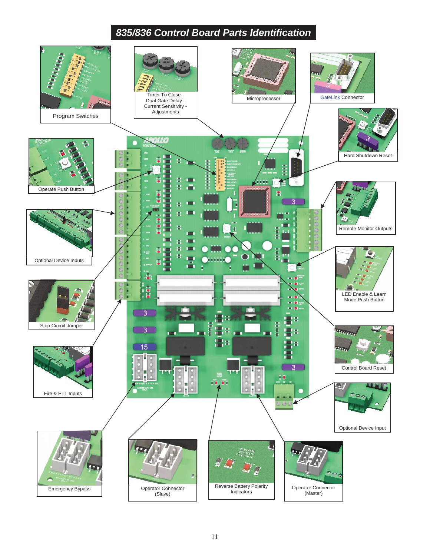### *835/836 Control Board Parts Identification*

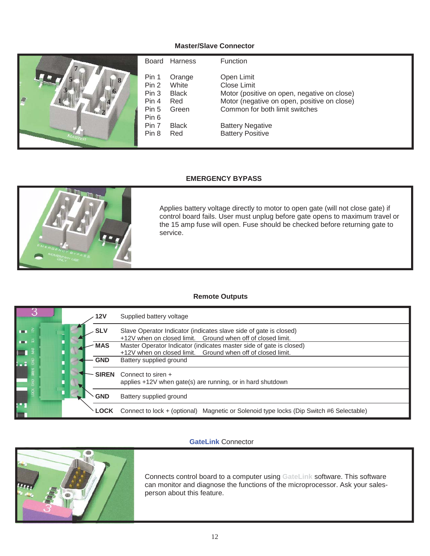#### **Master/Slave Connector**



#### **EMERGENCY BYPASS**



Applies battery voltage directly to motor to open gate (will not close gate) if control board fails. User must unplug before gate opens to maximum travel or the 15 amp fuse will open. Fuse should be checked before returning gate to service.

#### **Remote Outputs**

|                               | 12V          | Supplied battery voltage                                                                                                           |
|-------------------------------|--------------|------------------------------------------------------------------------------------------------------------------------------------|
| 一章<br>$-1$ $\tilde{a}$        | <b>SLV</b>   | Slave Operator Indicator (indicates slave side of gate is closed)<br>+12V when on closed limit. Ground when off of closed limit.   |
| $\blacksquare$                | <b>MAS</b>   | Master Operator Indicator (indicates master side of gate is closed)<br>+12V when on closed limit. Ground when off of closed limit. |
| $\frac{2}{1}$ = $\frac{2}{3}$ | <b>GND</b>   | Battery supplied ground                                                                                                            |
|                               | <b>SIREN</b> | Connect to siren +<br>applies +12V when gate(s) are running, or in hard shutdown                                                   |
|                               | <b>GND</b>   | Battery supplied ground                                                                                                            |
| g. g                          | <b>LOCK</b>  | Connect to lock + (optional) Magnetic or Solenoid type locks (Dip Switch #6 Selectable)                                            |

#### **GateLink** Connector



Connects control board to a computer using **GateLink** software. This software can monitor and diagnose the functions of the microprocessor. Ask your salesperson about this feature.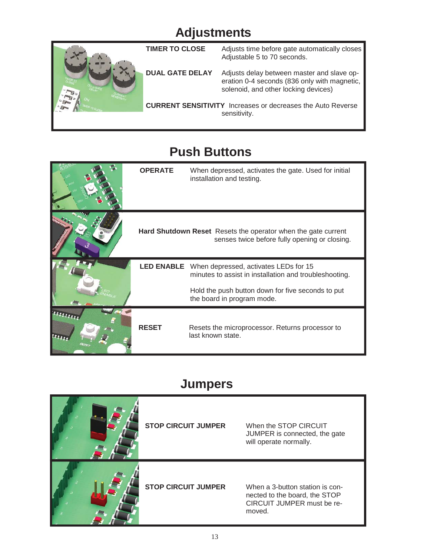## **Adjustments**



## **Push Buttons**

| <b>OPERATE</b>    | When depressed, activates the gate. Used for initial<br>installation and testing.                                     |
|-------------------|-----------------------------------------------------------------------------------------------------------------------|
|                   | <b>Hard Shutdown Reset</b> Resets the operator when the gate current<br>senses twice before fully opening or closing. |
| <b>LED ENABLE</b> | When depressed, activates LEDs for 15<br>minutes to assist in installation and troubleshooting.                       |
|                   | Hold the push button down for five seconds to put<br>the board in program mode.                                       |
| <b>RESET</b>      | Resets the microprocessor. Returns processor to<br>last known state.                                                  |

### **Jumpers**

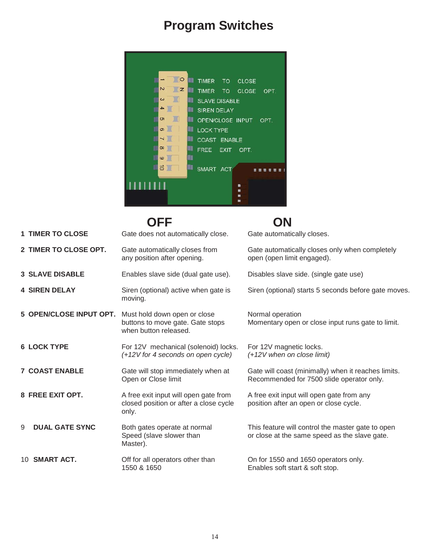## **Program Switches**



|                            | OFF                                                                                       | ON                                                                                                 |
|----------------------------|-------------------------------------------------------------------------------------------|----------------------------------------------------------------------------------------------------|
| <b>1 TIMER TO CLOSE</b>    | Gate does not automatically close.                                                        | Gate automatically closes.                                                                         |
| 2 TIMER TO CLOSE OPT.      | Gate automatically closes from<br>any position after opening.                             | Gate automatically closes only when completely<br>open (open limit engaged).                       |
| <b>3 SLAVE DISABLE</b>     | Enables slave side (dual gate use).                                                       | Disables slave side. (single gate use)                                                             |
| <b>4 SIREN DELAY</b>       | Siren (optional) active when gate is<br>moving.                                           | Siren (optional) starts 5 seconds before gate moves.                                               |
| 5 OPEN/CLOSE INPUT OPT.    | Must hold down open or close<br>buttons to move gate. Gate stops<br>when button released. | Normal operation<br>Momentary open or close input runs gate to limit.                              |
| <b>6 LOCK TYPE</b>         | For 12V mechanical (solenoid) locks.<br>$(+12V)$ for 4 seconds on open cycle)             | For 12V magnetic locks.<br>(+12V when on close limit)                                              |
| <b>7 COAST ENABLE</b>      | Gate will stop immediately when at<br>Open or Close limit                                 | Gate will coast (minimally) when it reaches limits.<br>Recommended for 7500 slide operator only.   |
| 8 FREE EXIT OPT.           | A free exit input will open gate from<br>closed position or after a close cycle<br>only.  | A free exit input will open gate from any<br>position after an open or close cycle.                |
| <b>DUAL GATE SYNC</b><br>9 | Both gates operate at normal<br>Speed (slave slower than<br>Master).                      | This feature will control the master gate to open<br>or close at the same speed as the slave gate. |
| 10 SMART ACT.              | Off for all operators other than<br>1550 & 1650                                           | On for 1550 and 1650 operators only.<br>Enables soft start & soft stop.                            |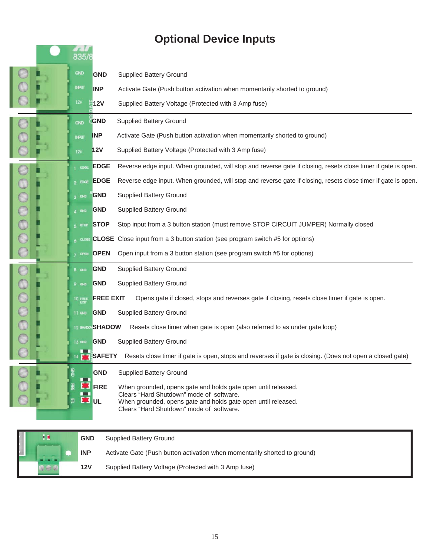## **Optional Device Inputs**

|       | 835/1           |                                                                                                                              |
|-------|-----------------|------------------------------------------------------------------------------------------------------------------------------|
|       |                 |                                                                                                                              |
|       | GND             | <b>GND</b><br><b>Supplied Battery Ground</b>                                                                                 |
|       | INPUT           | <b>INP</b><br>Activate Gate (Push button activation when momentarily shorted to ground)                                      |
|       | 12V             | <b>12V</b><br>Supplied Battery Voltage (Protected with 3 Amp fuse)                                                           |
|       | GND             | GND<br><b>Supplied Battery Ground</b>                                                                                        |
|       | <b>INPUT</b>    | <b>INP</b><br>Activate Gate (Push button activation when momentarily shorted to ground)                                      |
|       | 12V             | Supplied Battery Voltage (Protected with 3 Amp fuse)<br>12V                                                                  |
|       | EDGE            | Reverse edge input. When grounded, will stop and reverse gate if closing, resets close timer if gate is open.<br><b>EDGE</b> |
|       | o EXKE          | Reverse edge input. When grounded, will stop and reverse gate if closing, resets close timer if gate is open.<br><b>EDGE</b> |
|       | $R = 340$       | GND<br><b>Supplied Battery Ground</b>                                                                                        |
|       | $\triangle$ GND | <b>Supplied Battery Ground</b><br><b>GND</b>                                                                                 |
| 00000 | 5.870P          | Stop input from a 3 button station (must remove STOP CIRCUIT JUMPER) Normally closed<br><b>STOP</b>                          |
|       |                 | $6 \text{ case }$ CLOSE Close input from a 3 button station (see program switch #5 for options)                              |
|       | 7 OPEN          | Open input from a 3 button station (see program switch #5 for options)<br><b>OPEN</b>                                        |
|       | $B$ cash        | GND<br><b>Supplied Battery Ground</b>                                                                                        |
|       | $9 \,$ GND      | <b>Supplied Battery Ground</b><br><b>GND</b>                                                                                 |
| 8000  | <b>10 FREE</b>  | <b>FREE EXIT</b><br>Opens gate if closed, stops and reverses gate if closing, resets close timer if gate is open.            |
|       | 11 GND          | <b>GND</b><br><b>Supplied Battery Ground</b>                                                                                 |
|       |                 | 12 BROOK SHADOW<br>Resets close timer when gate is open (also referred to as under gate loop)                                |
|       | 13 GND          | <b>Supplied Battery Ground</b><br><b>GND</b>                                                                                 |
|       |                 | <b>EX SAFETY</b><br>Resets close timer if gate is open, stops and reverses if gate is closing. (Does not open a closed gate) |
|       |                 | <b>GND</b><br><b>Supplied Battery Ground</b>                                                                                 |
|       |                 | <b>FIRE</b><br>When grounded, opens gate and holds gate open until released.                                                 |
|       |                 | Clears "Hard Shutdown" mode of software.<br>UL<br>When grounded, opens gate and holds gate open until released.              |
|       |                 | Clears "Hard Shutdown" mode of software.                                                                                     |

| 言葉<br><b>Samuel Common</b> | <b>GND</b> | <b>Supplied Battery Ground</b>                                            |
|----------------------------|------------|---------------------------------------------------------------------------|
| ----                       | <b>INP</b> | Activate Gate (Push button activation when momentarily shorted to ground) |
|                            | 12V        | Supplied Battery Voltage (Protected with 3 Amp fuse)                      |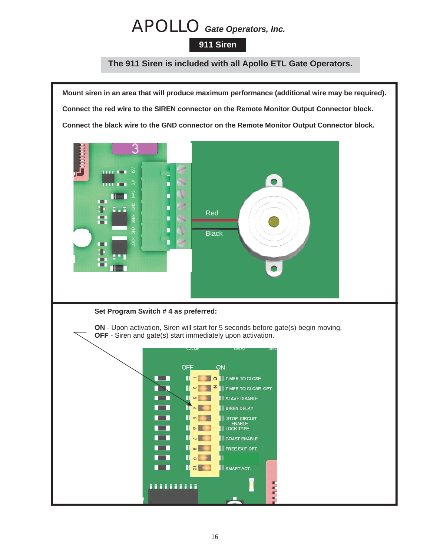## APOLLO *Gate Operators, Inc.*

#### **911 Siren**

#### **The 911 Siren is included with all Apollo ETL Gate Operators.**

**Mount siren in an area that will produce maximum performance (additional wire may be required). Connect the red wire to the SIREN connector on the Remote Monitor Output Connector block. Connect the black wire to the GND connector on the Remote Monitor Output Connector block.** З  $\bullet$ п п Red П П **Black** п **Set Program Switch # 4 as preferred: ON** - Upon activation, Siren will start for 5 seconds before gate(s) begin moving. **OFF** - Siren and gate(s) start immediately upon activation. OFF ON  $\blacksquare$  $\blacksquare$ TIMER TO CLOSE Ħ z TIMER TO CLOSE OPT. n Su  $\begin{array}{|c|c|c|c|c|}\n\hline\n\text{A} & \text{A} & \text{B} & \text{C} & \text{A} & \text{A} & \text{B} & \text{C} & \text{A} & \text{A} & \text{B} & \text{C} & \text{A} & \text{A} & \text{B} & \text{C} & \text{A} & \text{A} & \text{B} & \text{A} & \text{B} & \text{A} & \text{B} & \text{A} & \text{B} & \text{A} & \text{B} & \text{B} & \text{A} & \text{B} & \text{B} & \text{B} & \text{B} &$  $\blacksquare$ SLAVE DISABLE Ш  $\omega$   $\sqrt{2}$  $\Gamma$   $\sim$   $\Gamma$  $\blacksquare$ **SIREN DELAY**  $\begin{array}{|c|c|c|}\hline \text{I} & \text{O} & \text{I} \end{array}$ STOP CIRCUIT<br>ENABLE<br>LOCK TYPE **TELE**  $\blacksquare \circ \blacksquare$ **TER ISK COAST ENABLE All Street**  $\blacksquare \bullet \blacksquare \blacksquare$ FREE EXIT OPT. **The Contract of Street**  $\blacksquare \circ \blacksquare$  $\blacksquare$  $\blacksquare$ **The Co** SMART ACT. π ,,,,,,,,,, E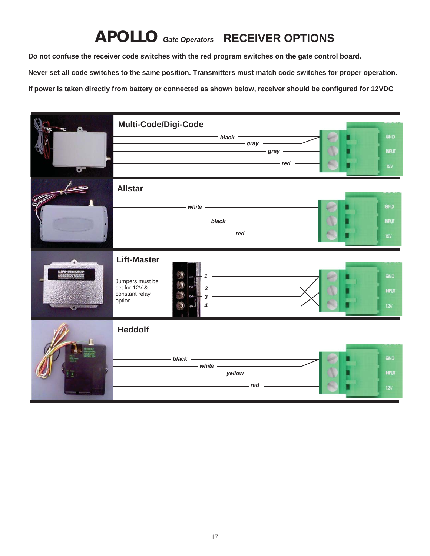## **APOLLO** *Gate Operators* **RECEIVER OPTIONS**

**Do not confuse the receiver code switches with the red program switches on the gate control board.**

**Never set all code switches to the same position. Transmitters must match code switches for proper operation.**

**If power is taken directly from battery or connected as shown below, receiver should be configured for 12VDC**

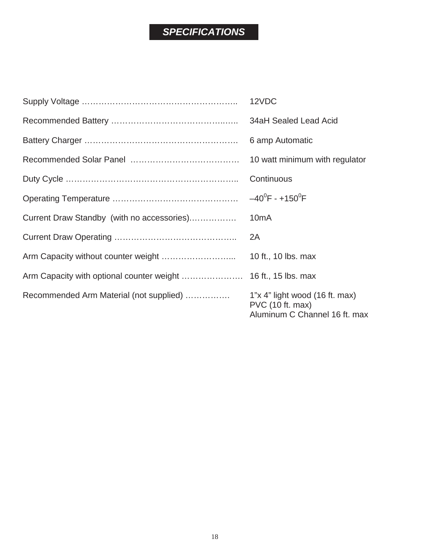## *SPECIFICATIONS*

|                                            | 12VDC                                                                                 |
|--------------------------------------------|---------------------------------------------------------------------------------------|
|                                            | 34aH Sealed Lead Acid                                                                 |
|                                            | 6 amp Automatic                                                                       |
|                                            | 10 watt minimum with regulator                                                        |
|                                            | Continuous                                                                            |
|                                            | $-40^0$ F - +150 <sup>0</sup> F                                                       |
| Current Draw Standby (with no accessories) | 10 <sub>m</sub> A                                                                     |
|                                            | 2A                                                                                    |
|                                            | 10 ft., 10 lbs. max                                                                   |
|                                            |                                                                                       |
| Recommended Arm Material (not supplied)    | $1"x 4"$ light wood (16 ft. max)<br>PVC (10 ft. max)<br>Aluminum C Channel 16 ft. max |